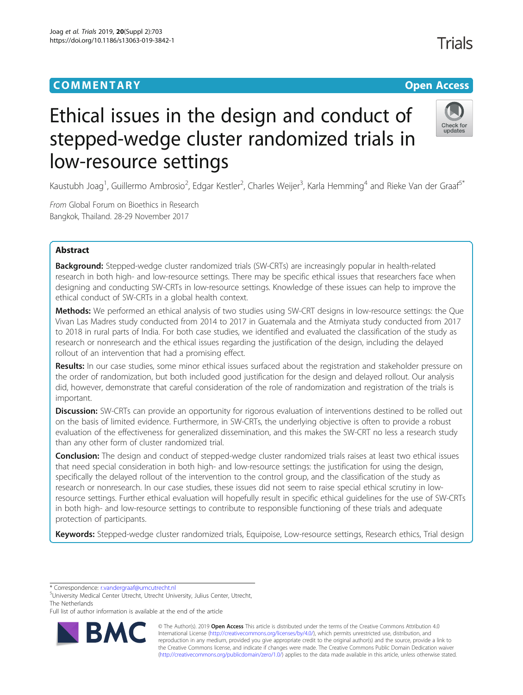# **COMMENTARY COMMENTARY Open Access**

**Trials** 

Check for undates

# Ethical issues in the design and conduct of stepped-wedge cluster randomized trials in low-resource settings

Kaustubh Joag<sup>1</sup>, Guillermo Ambrosio<sup>2</sup>, Edgar Kestler<sup>2</sup>, Charles Weijer<sup>3</sup>, Karla Hemming<sup>4</sup> and Rieke Van der Graaf<sup>s</sup>\*

From Global Forum on Bioethics in Research Bangkok, Thailand. 28-29 November 2017

# Abstract

**Background:** Stepped-wedge cluster randomized trials (SW-CRTs) are increasingly popular in health-related research in both high- and low-resource settings. There may be specific ethical issues that researchers face when designing and conducting SW-CRTs in low-resource settings. Knowledge of these issues can help to improve the ethical conduct of SW-CRTs in a global health context.

Methods: We performed an ethical analysis of two studies using SW-CRT designs in low-resource settings: the Que Vivan Las Madres study conducted from 2014 to 2017 in Guatemala and the Atmiyata study conducted from 2017 to 2018 in rural parts of India. For both case studies, we identified and evaluated the classification of the study as research or nonresearch and the ethical issues regarding the justification of the design, including the delayed rollout of an intervention that had a promising effect.

Results: In our case studies, some minor ethical issues surfaced about the registration and stakeholder pressure on the order of randomization, but both included good justification for the design and delayed rollout. Our analysis did, however, demonstrate that careful consideration of the role of randomization and registration of the trials is important.

**Discussion:** SW-CRTs can provide an opportunity for rigorous evaluation of interventions destined to be rolled out on the basis of limited evidence. Furthermore, in SW-CRTs, the underlying objective is often to provide a robust evaluation of the effectiveness for generalized dissemination, and this makes the SW-CRT no less a research study than any other form of cluster randomized trial.

Conclusion: The design and conduct of stepped-wedge cluster randomized trials raises at least two ethical issues that need special consideration in both high- and low-resource settings: the justification for using the design, specifically the delayed rollout of the intervention to the control group, and the classification of the study as research or nonresearch. In our case studies, these issues did not seem to raise special ethical scrutiny in lowresource settings. Further ethical evaluation will hopefully result in specific ethical guidelines for the use of SW-CRTs in both high- and low-resource settings to contribute to responsible functioning of these trials and adequate protection of participants.

Keywords: Stepped-wedge cluster randomized trials, Equipoise, Low-resource settings, Research ethics, Trial design

\* Correspondence: [r.vandergraaf@umcutrecht.nl](mailto:r.vandergraaf@umcutrecht.nl) <sup>5</sup>

University Medical Center Utrecht, Utrecht University, Julius Center, Utrecht, The Netherlands

Full list of author information is available at the end of the article



© The Author(s). 2019 **Open Access** This article is distributed under the terms of the Creative Commons Attribution 4.0 International License [\(http://creativecommons.org/licenses/by/4.0/](http://creativecommons.org/licenses/by/4.0/)), which permits unrestricted use, distribution, and reproduction in any medium, provided you give appropriate credit to the original author(s) and the source, provide a link to the Creative Commons license, and indicate if changes were made. The Creative Commons Public Domain Dedication waiver [\(http://creativecommons.org/publicdomain/zero/1.0/](http://creativecommons.org/publicdomain/zero/1.0/)) applies to the data made available in this article, unless otherwise stated.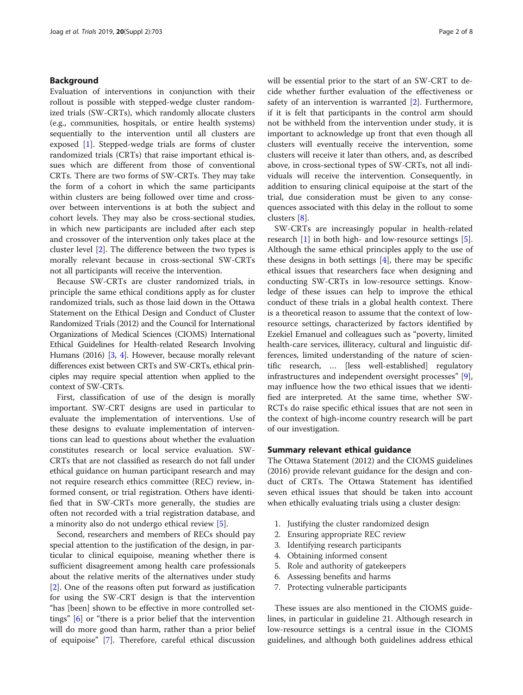#### Background

Evaluation of interventions in conjunction with their rollout is possible with stepped-wedge cluster randomized trials (SW-CRTs), which randomly allocate clusters (e.g., communities, hospitals, or entire health systems) sequentially to the intervention until all clusters are exposed [[1\]](#page-6-0). Stepped-wedge trials are forms of cluster randomized trials (CRTs) that raise important ethical issues which are different from those of conventional CRTs. There are two forms of SW-CRTs. They may take the form of a cohort in which the same participants within clusters are being followed over time and crossover between interventions is at both the subject and cohort levels. They may also be cross-sectional studies, in which new participants are included after each step and crossover of the intervention only takes place at the cluster level [\[2\]](#page-6-0). The difference between the two types is morally relevant because in cross-sectional SW-CRTs not all participants will receive the intervention.

Because SW-CRTs are cluster randomized trials, in principle the same ethical conditions apply as for cluster randomized trials, such as those laid down in the Ottawa Statement on the Ethical Design and Conduct of Cluster Randomized Trials (2012) and the Council for International Organizations of Medical Sciences (CIOMS) International Ethical Guidelines for Health-related Research Involving Humans (2016) [\[3,](#page-6-0) [4](#page-6-0)]. However, because morally relevant differences exist between CRTs and SW-CRTs, ethical principles may require special attention when applied to the context of SW-CRTs.

First, classification of use of the design is morally important. SW-CRT designs are used in particular to evaluate the implementation of interventions. Use of these designs to evaluate implementation of interventions can lead to questions about whether the evaluation constitutes research or local service evaluation. SW-CRTs that are not classified as research do not fall under ethical guidance on human participant research and may not require research ethics committee (REC) review, informed consent, or trial registration. Others have identified that in SW-CRTs more generally, the studies are often not recorded with a trial registration database, and a minority also do not undergo ethical review [[5\]](#page-6-0).

Second, researchers and members of RECs should pay special attention to the justification of the design, in particular to clinical equipoise, meaning whether there is sufficient disagreement among health care professionals about the relative merits of the alternatives under study [[2\]](#page-6-0). One of the reasons often put forward as justification for using the SW-CRT design is that the intervention "has [been] shown to be effective in more controlled settings" [[6](#page-6-0)] or "there is a prior belief that the intervention will do more good than harm, rather than a prior belief of equipoise" [\[7](#page-6-0)]. Therefore, careful ethical discussion will be essential prior to the start of an SW-CRT to decide whether further evaluation of the effectiveness or safety of an intervention is warranted [\[2](#page-6-0)]. Furthermore, if it is felt that participants in the control arm should not be withheld from the intervention under study, it is important to acknowledge up front that even though all clusters will eventually receive the intervention, some clusters will receive it later than others, and, as described above, in cross-sectional types of SW-CRTs, not all individuals will receive the intervention. Consequently, in addition to ensuring clinical equipoise at the start of the trial, due consideration must be given to any consequences associated with this delay in the rollout to some clusters [[8\]](#page-6-0).

SW-CRTs are increasingly popular in health-related research [\[1](#page-6-0)] in both high- and low-resource settings [\[5](#page-6-0)]. Although the same ethical principles apply to the use of these designs in both settings  $[4]$  $[4]$  $[4]$ , there may be specific ethical issues that researchers face when designing and conducting SW-CRTs in low-resource settings. Knowledge of these issues can help to improve the ethical conduct of these trials in a global health context. There is a theoretical reason to assume that the context of lowresource settings, characterized by factors identified by Ezekiel Emanuel and colleagues such as "poverty, limited health-care services, illiteracy, cultural and linguistic differences, limited understanding of the nature of scientific research, … [less well-established] regulatory infrastructures and independent oversight processes" [\[9](#page-6-0)], may influence how the two ethical issues that we identified are interpreted. At the same time, whether SW-RCTs do raise specific ethical issues that are not seen in the context of high-income country research will be part of our investigation.

#### Summary relevant ethical guidance

The Ottawa Statement (2012) and the CIOMS guidelines (2016) provide relevant guidance for the design and conduct of CRTs. The Ottawa Statement has identified seven ethical issues that should be taken into account when ethically evaluating trials using a cluster design:

- 1. Justifying the cluster randomized design
- 2. Ensuring appropriate REC review
- 3. Identifying research participants
- 4. Obtaining informed consent
- 5. Role and authority of gatekeepers
- 6. Assessing benefits and harms
- 7. Protecting vulnerable participants

These issues are also mentioned in the CIOMS guidelines, in particular in guideline 21. Although research in low-resource settings is a central issue in the CIOMS guidelines, and although both guidelines address ethical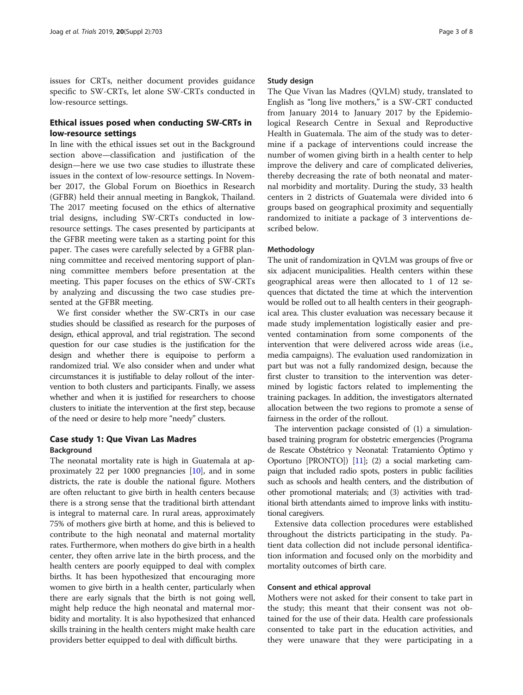issues for CRTs, neither document provides guidance specific to SW-CRTs, let alone SW-CRTs conducted in low-resource settings.

## Ethical issues posed when conducting SW-CRTs in low-resource settings

In line with the ethical issues set out in the Background section above—classification and justification of the design—here we use two case studies to illustrate these issues in the context of low-resource settings. In November 2017, the Global Forum on Bioethics in Research (GFBR) held their annual meeting in Bangkok, Thailand. The 2017 meeting focused on the ethics of alternative trial designs, including SW-CRTs conducted in lowresource settings. The cases presented by participants at the GFBR meeting were taken as a starting point for this paper. The cases were carefully selected by a GFBR planning committee and received mentoring support of planning committee members before presentation at the meeting. This paper focuses on the ethics of SW-CRTs by analyzing and discussing the two case studies presented at the GFBR meeting.

We first consider whether the SW-CRTs in our case studies should be classified as research for the purposes of design, ethical approval, and trial registration. The second question for our case studies is the justification for the design and whether there is equipoise to perform a randomized trial. We also consider when and under what circumstances it is justifiable to delay rollout of the intervention to both clusters and participants. Finally, we assess whether and when it is justified for researchers to choose clusters to initiate the intervention at the first step, because of the need or desire to help more "needy" clusters.

#### Case study 1: Que Vivan Las Madres Background

The neonatal mortality rate is high in Guatemala at approximately 22 per 1000 pregnancies [[10](#page-6-0)], and in some districts, the rate is double the national figure. Mothers are often reluctant to give birth in health centers because there is a strong sense that the traditional birth attendant is integral to maternal care. In rural areas, approximately 75% of mothers give birth at home, and this is believed to contribute to the high neonatal and maternal mortality rates. Furthermore, when mothers do give birth in a health center, they often arrive late in the birth process, and the health centers are poorly equipped to deal with complex births. It has been hypothesized that encouraging more women to give birth in a health center, particularly when there are early signals that the birth is not going well, might help reduce the high neonatal and maternal morbidity and mortality. It is also hypothesized that enhanced skills training in the health centers might make health care providers better equipped to deal with difficult births.

#### Study design

The Que Vivan las Madres (QVLM) study, translated to English as "long live mothers," is a SW-CRT conducted from January 2014 to January 2017 by the Epidemiological Research Centre in Sexual and Reproductive Health in Guatemala. The aim of the study was to determine if a package of interventions could increase the number of women giving birth in a health center to help improve the delivery and care of complicated deliveries, thereby decreasing the rate of both neonatal and maternal morbidity and mortality. During the study, 33 health centers in 2 districts of Guatemala were divided into 6 groups based on geographical proximity and sequentially randomized to initiate a package of 3 interventions described below.

#### Methodology

The unit of randomization in QVLM was groups of five or six adjacent municipalities. Health centers within these geographical areas were then allocated to 1 of 12 sequences that dictated the time at which the intervention would be rolled out to all health centers in their geographical area. This cluster evaluation was necessary because it made study implementation logistically easier and prevented contamination from some components of the intervention that were delivered across wide areas (i.e., media campaigns). The evaluation used randomization in part but was not a fully randomized design, because the first cluster to transition to the intervention was determined by logistic factors related to implementing the training packages. In addition, the investigators alternated allocation between the two regions to promote a sense of fairness in the order of the rollout.

The intervention package consisted of (1) a simulationbased training program for obstetric emergencies (Programa de Rescate Obstétrico y Neonatal: Tratamiento Óptimo y Oportuno [PRONTO]) [[11\]](#page-6-0); (2) a social marketing campaign that included radio spots, posters in public facilities such as schools and health centers, and the distribution of other promotional materials; and (3) activities with traditional birth attendants aimed to improve links with institutional caregivers.

Extensive data collection procedures were established throughout the districts participating in the study. Patient data collection did not include personal identification information and focused only on the morbidity and mortality outcomes of birth care.

#### Consent and ethical approval

Mothers were not asked for their consent to take part in the study; this meant that their consent was not obtained for the use of their data. Health care professionals consented to take part in the education activities, and they were unaware that they were participating in a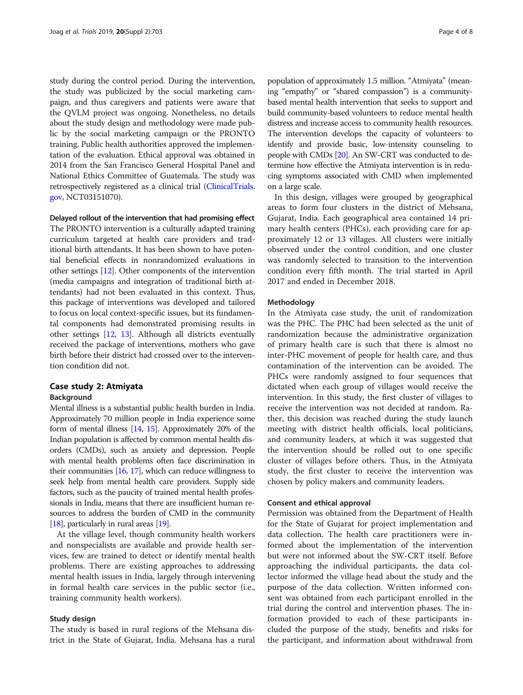study during the control period. During the intervention, the study was publicized by the social marketing campaign, and thus caregivers and patients were aware that the QVLM project was ongoing. Nonetheless, no details about the study design and methodology were made public by the social marketing campaign or the PRONTO training. Public health authorities approved the implementation of the evaluation. Ethical approval was obtained in 2014 from the San Francisco General Hospital Panel and National Ethics Committee of Guatemala. The study was retrospectively registered as a clinical trial [\(ClinicalTrials.](http://clinicaltrials.gov) [gov,](http://clinicaltrials.gov) NCT03151070).

#### Delayed rollout of the intervention that had promising effect

The PRONTO intervention is a culturally adapted training curriculum targeted at health care providers and traditional birth attendants. It has been shown to have potential beneficial effects in nonrandomized evaluations in other settings [[12](#page-6-0)]. Other components of the intervention (media campaigns and integration of traditional birth attendants) had not been evaluated in this context. Thus, this package of interventions was developed and tailored to focus on local context-specific issues, but its fundamental components had demonstrated promising results in other settings [\[12,](#page-6-0) [13](#page-6-0)]. Although all districts eventually received the package of interventions, mothers who gave birth before their district had crossed over to the intervention condition did not.

#### Case study 2: Atmiyata

#### Background

Mental illness is a substantial public health burden in India. Approximately 70 million people in India experience some form of mental illness [\[14](#page-6-0), [15](#page-6-0)]. Approximately 20% of the Indian population is affected by common mental health disorders (CMDs), such as anxiety and depression. People with mental health problems often face discrimination in their communities [\[16,](#page-6-0) [17\]](#page-6-0), which can reduce willingness to seek help from mental health care providers. Supply side factors, such as the paucity of trained mental health professionals in India, means that there are insufficient human resources to address the burden of CMD in the community [[18](#page-6-0)], particularly in rural areas [\[19\]](#page-6-0).

At the village level, though community health workers and nonspecialists are available and provide health services, few are trained to detect or identify mental health problems. There are existing approaches to addressing mental health issues in India, largely through intervening in formal health care services in the public sector (i.e., training community health workers).

#### Study design

The study is based in rural regions of the Mehsana district in the State of Gujarat, India. Mehsana has a rural

population of approximately 1.5 million. "Atmiyata" (meaning "empathy" or "shared compassion") is a communitybased mental health intervention that seeks to support and build community-based volunteers to reduce mental health distress and increase access to community health resources. The intervention develops the capacity of volunteers to identify and provide basic, low-intensity counseling to people with CMDs [\[20\]](#page-6-0). An SW-CRT was conducted to determine how effective the Atmiyata intervention is in reducing symptoms associated with CMD when implemented on a large scale.

In this design, villages were grouped by geographical areas to form four clusters in the district of Mehsana, Gujarat, India. Each geographical area contained 14 primary health centers (PHCs), each providing care for approximately 12 or 13 villages. All clusters were initially observed under the control condition, and one cluster was randomly selected to transition to the intervention condition every fifth month. The trial started in April 2017 and ended in December 2018.

#### Methodology

In the Atmiyata case study, the unit of randomization was the PHC. The PHC had been selected as the unit of randomization because the administrative organization of primary health care is such that there is almost no inter-PHC movement of people for health care, and thus contamination of the intervention can be avoided. The PHCs were randomly assigned to four sequences that dictated when each group of villages would receive the intervention. In this study, the first cluster of villages to receive the intervention was not decided at random. Rather, this decision was reached during the study launch meeting with district health officials, local politicians, and community leaders, at which it was suggested that the intervention should be rolled out to one specific cluster of villages before others. Thus, in the Atmiyata study, the first cluster to receive the intervention was chosen by policy makers and community leaders.

#### Consent and ethical approval

Permission was obtained from the Department of Health for the State of Gujarat for project implementation and data collection. The health care practitioners were informed about the implementation of the intervention but were not informed about the SW-CRT itself. Before approaching the individual participants, the data collector informed the village head about the study and the purpose of the data collection. Written informed consent was obtained from each participant enrolled in the trial during the control and intervention phases. The information provided to each of these participants included the purpose of the study, benefits and risks for the participant, and information about withdrawal from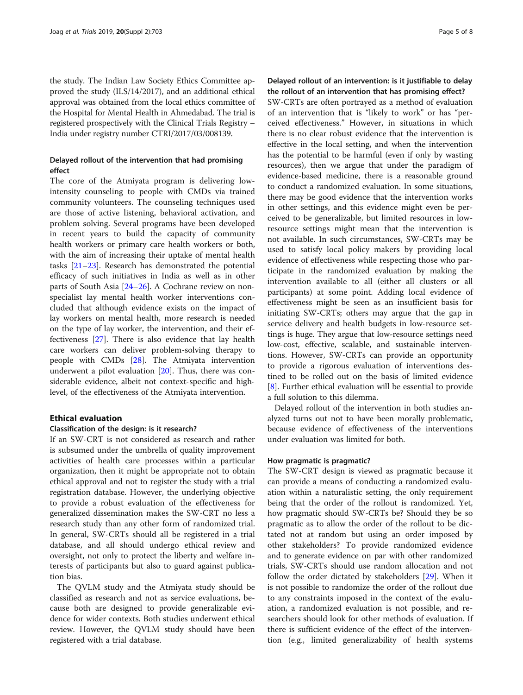the study. The Indian Law Society Ethics Committee approved the study (ILS/14/2017), and an additional ethical approval was obtained from the local ethics committee of the Hospital for Mental Health in Ahmedabad. The trial is registered prospectively with the Clinical Trials Registry – India under registry number CTRI/2017/03/008139.

### Delayed rollout of the intervention that had promising effect

The core of the Atmiyata program is delivering lowintensity counseling to people with CMDs via trained community volunteers. The counseling techniques used are those of active listening, behavioral activation, and problem solving. Several programs have been developed in recent years to build the capacity of community health workers or primary care health workers or both, with the aim of increasing their uptake of mental health tasks [\[21](#page-6-0)–[23\]](#page-6-0). Research has demonstrated the potential efficacy of such initiatives in India as well as in other parts of South Asia [[24](#page-6-0)–[26](#page-7-0)]. A Cochrane review on nonspecialist lay mental health worker interventions concluded that although evidence exists on the impact of lay workers on mental health, more research is needed on the type of lay worker, the intervention, and their effectiveness [\[27](#page-7-0)]. There is also evidence that lay health care workers can deliver problem-solving therapy to people with CMDs [[28\]](#page-7-0). The Atmiyata intervention underwent a pilot evaluation [\[20\]](#page-6-0). Thus, there was considerable evidence, albeit not context-specific and highlevel, of the effectiveness of the Atmiyata intervention.

#### Ethical evaluation

#### Classification of the design: is it research?

If an SW-CRT is not considered as research and rather is subsumed under the umbrella of quality improvement activities of health care processes within a particular organization, then it might be appropriate not to obtain ethical approval and not to register the study with a trial registration database. However, the underlying objective to provide a robust evaluation of the effectiveness for generalized dissemination makes the SW-CRT no less a research study than any other form of randomized trial. In general, SW-CRTs should all be registered in a trial database, and all should undergo ethical review and oversight, not only to protect the liberty and welfare interests of participants but also to guard against publication bias.

The QVLM study and the Atmiyata study should be classified as research and not as service evaluations, because both are designed to provide generalizable evidence for wider contexts. Both studies underwent ethical review. However, the QVLM study should have been registered with a trial database.

#### Delayed rollout of an intervention: is it justifiable to delay the rollout of an intervention that has promising effect?

SW-CRTs are often portrayed as a method of evaluation of an intervention that is "likely to work" or has "perceived effectiveness." However, in situations in which there is no clear robust evidence that the intervention is effective in the local setting, and when the intervention has the potential to be harmful (even if only by wasting resources), then we argue that under the paradigm of evidence-based medicine, there is a reasonable ground to conduct a randomized evaluation. In some situations, there may be good evidence that the intervention works in other settings, and this evidence might even be perceived to be generalizable, but limited resources in lowresource settings might mean that the intervention is not available. In such circumstances, SW-CRTs may be used to satisfy local policy makers by providing local evidence of effectiveness while respecting those who participate in the randomized evaluation by making the intervention available to all (either all clusters or all participants) at some point. Adding local evidence of effectiveness might be seen as an insufficient basis for initiating SW-CRTs; others may argue that the gap in service delivery and health budgets in low-resource settings is huge. They argue that low-resource settings need low-cost, effective, scalable, and sustainable interventions. However, SW-CRTs can provide an opportunity to provide a rigorous evaluation of interventions destined to be rolled out on the basis of limited evidence [[8\]](#page-6-0). Further ethical evaluation will be essential to provide a full solution to this dilemma.

Delayed rollout of the intervention in both studies analyzed turns out not to have been morally problematic, because evidence of effectiveness of the interventions under evaluation was limited for both.

#### How pragmatic is pragmatic?

The SW-CRT design is viewed as pragmatic because it can provide a means of conducting a randomized evaluation within a naturalistic setting, the only requirement being that the order of the rollout is randomized. Yet, how pragmatic should SW-CRTs be? Should they be so pragmatic as to allow the order of the rollout to be dictated not at random but using an order imposed by other stakeholders? To provide randomized evidence and to generate evidence on par with other randomized trials, SW-CRTs should use random allocation and not follow the order dictated by stakeholders [[29](#page-7-0)]. When it is not possible to randomize the order of the rollout due to any constraints imposed in the context of the evaluation, a randomized evaluation is not possible, and researchers should look for other methods of evaluation. If there is sufficient evidence of the effect of the intervention (e.g., limited generalizability of health systems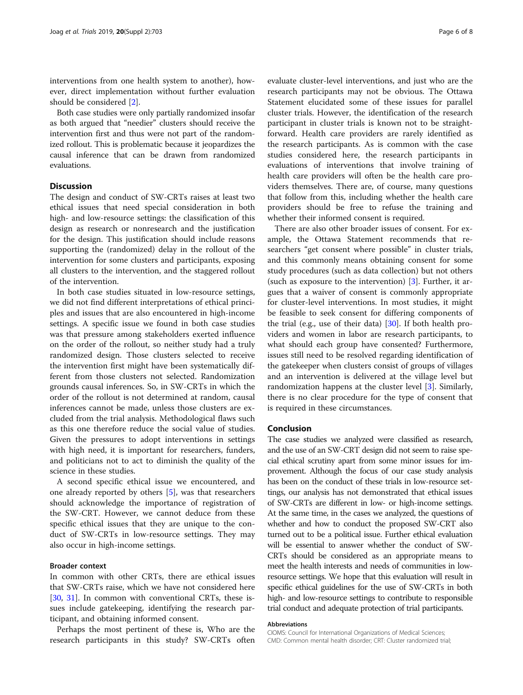interventions from one health system to another), however, direct implementation without further evaluation should be considered [[2\]](#page-6-0).

Both case studies were only partially randomized insofar as both argued that "needier" clusters should receive the intervention first and thus were not part of the randomized rollout. This is problematic because it jeopardizes the causal inference that can be drawn from randomized evaluations.

### **Discussion**

The design and conduct of SW-CRTs raises at least two ethical issues that need special consideration in both high- and low-resource settings: the classification of this design as research or nonresearch and the justification for the design. This justification should include reasons supporting the (randomized) delay in the rollout of the intervention for some clusters and participants, exposing all clusters to the intervention, and the staggered rollout of the intervention.

In both case studies situated in low-resource settings, we did not find different interpretations of ethical principles and issues that are also encountered in high-income settings. A specific issue we found in both case studies was that pressure among stakeholders exerted influence on the order of the rollout, so neither study had a truly randomized design. Those clusters selected to receive the intervention first might have been systematically different from those clusters not selected. Randomization grounds causal inferences. So, in SW-CRTs in which the order of the rollout is not determined at random, causal inferences cannot be made, unless those clusters are excluded from the trial analysis. Methodological flaws such as this one therefore reduce the social value of studies. Given the pressures to adopt interventions in settings with high need, it is important for researchers, funders, and politicians not to act to diminish the quality of the science in these studies.

A second specific ethical issue we encountered, and one already reported by others [\[5](#page-6-0)], was that researchers should acknowledge the importance of registration of the SW-CRT. However, we cannot deduce from these specific ethical issues that they are unique to the conduct of SW-CRTs in low-resource settings. They may also occur in high-income settings.

#### Broader context

In common with other CRTs, there are ethical issues that SW-CRTs raise, which we have not considered here [[30,](#page-7-0) [31\]](#page-7-0). In common with conventional CRTs, these issues include gatekeeping, identifying the research participant, and obtaining informed consent.

Perhaps the most pertinent of these is, Who are the research participants in this study? SW-CRTs often

evaluate cluster-level interventions, and just who are the research participants may not be obvious. The Ottawa Statement elucidated some of these issues for parallel cluster trials. However, the identification of the research participant in cluster trials is known not to be straightforward. Health care providers are rarely identified as the research participants. As is common with the case studies considered here, the research participants in evaluations of interventions that involve training of health care providers will often be the health care providers themselves. There are, of course, many questions that follow from this, including whether the health care providers should be free to refuse the training and whether their informed consent is required.

There are also other broader issues of consent. For example, the Ottawa Statement recommends that researchers "get consent where possible" in cluster trials, and this commonly means obtaining consent for some study procedures (such as data collection) but not others (such as exposure to the intervention) [\[3](#page-6-0)]. Further, it argues that a waiver of consent is commonly appropriate for cluster-level interventions. In most studies, it might be feasible to seek consent for differing components of the trial (e.g., use of their data)  $[30]$  $[30]$  $[30]$ . If both health providers and women in labor are research participants, to what should each group have consented? Furthermore, issues still need to be resolved regarding identification of the gatekeeper when clusters consist of groups of villages and an intervention is delivered at the village level but randomization happens at the cluster level [\[3\]](#page-6-0). Similarly, there is no clear procedure for the type of consent that is required in these circumstances.

#### Conclusion

The case studies we analyzed were classified as research, and the use of an SW-CRT design did not seem to raise special ethical scrutiny apart from some minor issues for improvement. Although the focus of our case study analysis has been on the conduct of these trials in low-resource settings, our analysis has not demonstrated that ethical issues of SW-CRTs are different in low- or high-income settings. At the same time, in the cases we analyzed, the questions of whether and how to conduct the proposed SW-CRT also turned out to be a political issue. Further ethical evaluation will be essential to answer whether the conduct of SW-CRTs should be considered as an appropriate means to meet the health interests and needs of communities in lowresource settings. We hope that this evaluation will result in specific ethical guidelines for the use of SW-CRTs in both high- and low-resource settings to contribute to responsible trial conduct and adequate protection of trial participants.

#### Abbreviations

CIOMS: Council for International Organizations of Medical Sciences; CMD: Common mental health disorder; CRT: Cluster randomized trial;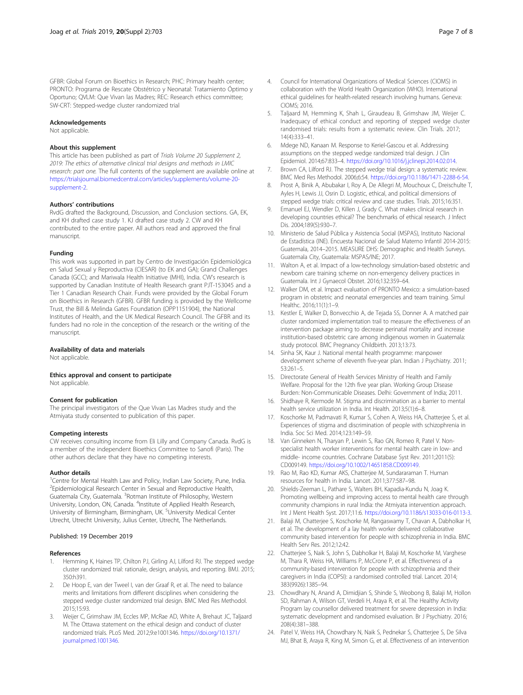<span id="page-6-0"></span>GFBR: Global Forum on Bioethics in Research; PHC: Primary health center; PRONTO: Programa de Rescate Obstétrico y Neonatal: Tratamiento Óptimo y Oportuno; QVLM: Que Vivan las Madres; REC: Research ethics committee; SW-CRT: Stepped-wedge cluster randomized trial

#### Acknowledgements

Not applicable.

#### About this supplement

This article has been published as part of Trials Volume 20 Supplement 2, 2019: The ethics of alternative clinical trial designs and methods in LMIC research: part one. The full contents of the supplement are available online at [https://trialsjournal.biomedcentral.com/articles/supplements/volume-20](https://trialsjournal.biomedcentral.com/articles/supplements/volume-20-supplement-2) [supplement-2](https://trialsjournal.biomedcentral.com/articles/supplements/volume-20-supplement-2).

#### Authors' contributions

RvdG drafted the Background, Discussion, and Conclusion sections. GA, EK, and KH drafted case study 1. KJ drafted case study 2. CW and KH contributed to the entire paper. All authors read and approved the final manuscript.

#### Funding

This work was supported in part by Centro de Investigación Epidemiológica en Salud Sexual y Reproductiva (CIESAR) (to EK and GA); Grand Challenges Canada (GCC); and Mariwala Health Initiative (MHI), India. CW's research is supported by Canadian Institute of Health Research grant PJT-153045 and a Tier 1 Canadian Research Chair. Funds were provided by the Global Forum on Bioethics in Research (GFBR). GFBR funding is provided by the Wellcome Trust, the Bill & Melinda Gates Foundation (OPP1151904), the National Institutes of Health, and the UK Medical Research Council. The GFBR and its funders had no role in the conception of the research or the writing of the manuscript.

#### Availability of data and materials

Not applicable.

## Ethics approval and consent to participate

Not applicable.

#### Consent for publication

The principal investigators of the Que Vivan Las Madres study and the Atmiyata study consented to publication of this paper.

#### Competing interests

CW receives consulting income from Eli Lilly and Company Canada. RvdG is a member of the independent Bioethics Committee to Sanofi (Paris). The other authors declare that they have no competing interests.

#### Author details

<sup>1</sup> Centre for Mental Health Law and Policy, Indian Law Society, Pune, India. <sup>2</sup> Epidemiological Research Center in Sexual and Reproductive Health, Guatemala City, Guatemala. <sup>3</sup>Rotman Institute of Philosophy, Western University, London, ON, Canada. <sup>4</sup>Institute of Applied Health Research, University of Birmingham, Birmingham, UK. <sup>5</sup>University Medical Center Utrecht, Utrecht University, Julius Center, Utrecht, The Netherlands.

#### Published: 19 December 2019

#### References

- 1. Hemming K, Haines TP, Chilton PJ, Girling AJ, Lilford RJ. The stepped wedge cluster randomized trial: rationale, design, analysis, and reporting. BMJ. 2015; 350:h391.
- 2. De Hoop E, van der Tweel I, van der Graaf R, et al. The need to balance merits and limitations from different disciplines when considering the stepped wedge cluster randomized trial design. BMC Med Res Methodol. 2015;15:93.
- 3. Weijer C, Grimshaw JM, Eccles MP, McRae AD, White A, Brehaut JC, Taljaard M. The Ottawa statement on the ethical design and conduct of cluster randomized trials. PLoS Med. 2012;9:e1001346. [https://doi.org/10.1371/](https://doi.org/10.1371/journal.pmed.1001346) [journal.pmed.1001346](https://doi.org/10.1371/journal.pmed.1001346).
- 4. Council for International Organizations of Medical Sciences (CIOMS) in collaboration with the World Health Organization (WHO). International ethical guidelines for health-related research involving humans. Geneva: CIOMS; 2016.
- 5. Taljaard M, Hemming K, Shah L, Giraudeau B, Grimshaw JM, Weijer C. Inadequacy of ethical conduct and reporting of stepped wedge cluster randomised trials: results from a systematic review. Clin Trials. 2017; 14(4):333–41.
- 6. Mdege ND, Kanaan M. Response to Keriel-Gascou et al. Addressing assumptions on the stepped wedge randomized trial design. J Clin Epidemiol. 2014;67:833–4. <https://doi.org/10.1016/j.jclinepi.2014.02.014>.
- 7. Brown CA, Lilford RJ. The stepped wedge trial design: a systematic review. BMC Med Res Methodol. 2006;6:54. <https://doi.org/10.1186/1471-2288-6-54>.
- 8. Prost A, Binik A, Abubakar I, Roy A, De Allegri M, Mouchoux C, Dreischulte T, Ayles H, Lewis JJ, Osrin D. Logistic, ethical, and political dimensions of stepped wedge trials: critical review and case studies. Trials. 2015;16:351.
- 9. Emanuel EJ, Wendler D, Killen J, Grady C. What makes clinical research in developing countries ethical? The benchmarks of ethical research. J Infect Dis. 2004;189(5):930–7.
- 10. Ministerio de Salud Pública y Asistencia Social (MSPAS), Instituto Nacional de Estadística (INE). Encuesta Nacional de Salud Materno Infantil 2014-2015: Guatemala, 2014–2015. MEASURE DHS: Demographic and Health Surveys. Guatemala City, Guatemala: MSPAS/INE; 2017.
- 11. Walton A, et al. Impact of a low-technology simulation-based obstetric and newborn care training scheme on non-emergency delivery practices in Guatemala. Int J Gynaecol Obstet. 2016;132:359–64.
- 12. Walker DM, et al. Impact evaluation of PRONTO Mexico: a simulation-based program in obstetric and neonatal emergencies and team training. Simul Healthc. 2016;11(1):1–9.
- 13. Kestler E, Walker D, Bonvecchio A, de Tejada SS, Donner A. A matched pair cluster randomized implementation trail to measure the effectiveness of an intervention package aiming to decrease perinatal mortality and increase institution-based obstetric care among indigenous women in Guatemala: study protocol. BMC Pregnancy Childbirth. 2013;13:73.
- 14. Sinha SK, Kaur J. National mental health programme: manpower development scheme of eleventh five-year plan. Indian J Psychiatry. 2011; 53:261–5.
- 15. Directorate General of Health Services Ministry of Health and Family Welfare. Proposal for the 12th five year plan. Working Group Disease Burden: Non-Communicable Diseases. Delhi: Government of India; 2011.
- 16. Shidhaye R, Kermode M. Stigma and discrimination as a barrier to mental health service utilization in India. Int Health. 2013;5(1):6–8.
- 17. Koschorke M, Padmavati R, Kumar S, Cohen A, Weiss HA, Chatterjee S, et al. Experiences of stigma and discrimination of people with schizophrenia in India. Soc Sci Med. 2014;123:149–59.
- 18. Van Ginneken N, Tharyan P, Lewin S, Rao GN, Romeo R, Patel V. Nonspecialist health worker interventions for mental health care in low- and middle- income countries. Cochrane Database Syst Rev. 2011;2011(5): CD009149. [https://doi.org/10.1002/14651858.CD009149.](https://doi.org/10.1002/14651858.CD009149)
- 19. Rao M, Rao KD, Kumar AKS, Chatterjee M, Sundararaman T. Human resources for health in India. Lancet. 2011;377:587–98.
- 20. Shields-Zeeman L, Pathare S, Walters BH, Kapadia-Kundu N, Joag K. Promoting wellbeing and improving access to mental health care through community champions in rural India: the Atmiyata intervention approach. Int J Ment Health Syst. 2017;11:6. [https://doi.org/10.1186/s13033-016-0113-3.](https://doi.org/10.1186/s13033-016-0113-3)
- 21. Balaji M, Chatterjee S, Koschorke M, Rangaswamy T, Chavan A, Dabholkar H, et al. The development of a lay health worker delivered collaborative community based intervention for people with schizophrenia in India. BMC Health Serv Res. 2012;12:42.
- 22. Chatterjee S, Naik S, John S, Dabholkar H, Balaji M, Koschorke M, Varghese M, Thara R, Weiss HA, Williams P, McCrone P, et al. Effectiveness of a community-based intervention for people with schizophrenia and their caregivers in India (COPSI): a randomised controlled trial. Lancet. 2014; 383(9926):1385–94.
- 23. Chowdhary N, Anand A, Dimidjian S, Shinde S, Weobong B, Balaji M, Hollon SD, Rahman A, Wilson GT, Verdeli H, Araya R, et al. The Healthy Activity Program lay counsellor delivered treatment for severe depression in India: systematic development and randomised evaluation. Br J Psychiatry. 2016; 208(4):381–388.
- 24. Patel V, Weiss HA, Chowdhary N, Naik S, Pednekar S, Chatterjee S, De Silva MJ, Bhat B, Araya R, King M, Simon G, et al. Effectiveness of an intervention